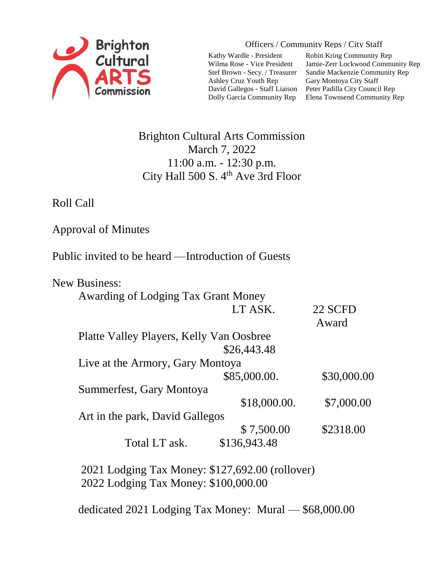

Officers / Community Reps / City Staff

Kathy Wardle - President Wilma Rose - Vice President Stef Brown - Secy. / Treasurer Ashley Cruz Youth Rep David Gallegos - Staff Liaison Dolly Garcia Community Rep

Robin Kring Community Rep Jamie-Zerr Lockwood Community Rep Sandie Mackenzie Community Rep Gary Montoya City Staff Peter Padilla City Council Rep Elena Townsend Community Rep

## Brighton Cultural Arts Commission March 7, 2022 11:00 a.m. - 12:30 p.m. City Hall 500 S. 4<sup>th</sup> Ave 3rd Floor

Roll Call

Approval of Minutes

Public invited to be heard —Introduction of Guests

|  | <b>New Business:</b>                     |              |             |
|--|------------------------------------------|--------------|-------------|
|  | Awarding of Lodging Tax Grant Money      |              |             |
|  |                                          | LT ASK.      | 22 SCFD     |
|  |                                          |              | Award       |
|  | Platte Valley Players, Kelly Van Oosbree |              |             |
|  |                                          | \$26,443.48  |             |
|  | Live at the Armory, Gary Montoya         |              |             |
|  |                                          | \$85,000.00. | \$30,000.00 |
|  | Summerfest, Gary Montoya                 |              |             |
|  |                                          | \$18,000.00. | \$7,000.00  |
|  | Art in the park, David Gallegos          |              |             |
|  |                                          | \$7,500.00   | \$2318.00   |
|  | Total LT ask.                            | \$136,943.48 |             |
|  |                                          |              |             |

 2021 Lodging Tax Money: \$127,692.00 (rollover) 2022 Lodging Tax Money: \$100,000.00

dedicated 2021 Lodging Tax Money: Mural — \$68,000.00